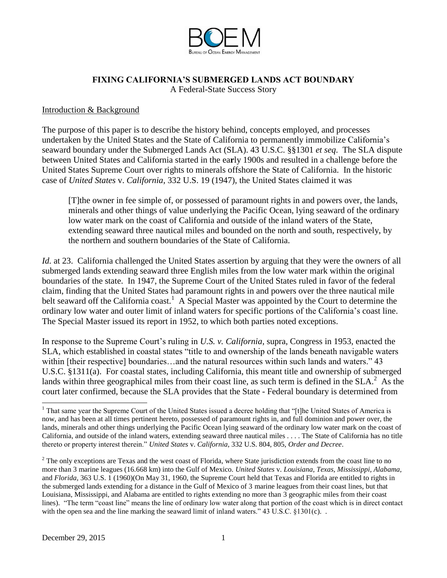

# **FIXING CALIFORNIA'S SUBMERGED LANDS ACT BOUNDARY**

A Federal-State Success Story

### Introduction & Background

The purpose of this paper is to describe the history behind, concepts employed, and processes undertaken by the United States and the State of California to permanently immobilize California's seaward boundary under the Submerged Lands Act (SLA). 43 U.S.C. §§1301 *et seq*. The SLA dispute between United States and California started in the ea**r**ly 1900s and resulted in a challenge before the United States Supreme Court over rights to minerals offshore the State of California. In the historic case of *United States* v. *California*, 332 U.S. 19 (1947), the United States claimed it was

[T]the owner in fee simple of, or possessed of paramount rights in and powers over, the lands, minerals and other things of value underlying the Pacific Ocean, lying seaward of the ordinary low water mark on the coast of California and outside of the inland waters of the State, extending seaward three nautical miles and bounded on the north and south, respectively, by the northern and southern boundaries of the State of California.

*Id.* at 23. California challenged the United States assertion by arguing that they were the owners of all submerged lands extending seaward three English miles from the low water mark within the original boundaries of the state. In 1947, the Supreme Court of the United States ruled in favor of the federal claim, finding that the United States had paramount rights in and powers over the three nautical mile belt seaward off the California coast.<sup>1</sup> A Special Master was appointed by the Court to determine the ordinary low water and outer limit of inland waters for specific portions of the California's coast line. The Special Master issued its report in 1952, to which both parties noted exceptions.

In response to the Supreme Court's ruling in *U.S. v. California*, supra, Congress in 1953, enacted the SLA, which established in coastal states "title to and ownership of the lands beneath navigable waters within [their respective] boundaries...and the natural resources within such lands and waters." 43 U.S.C. §1311(a). For coastal states, including California, this meant title and ownership of submerged lands within three geographical miles from their coast line, as such term is defined in the  $SLA$ <sup>2</sup>. As the court later confirmed, because the SLA provides that the State - Federal boundary is determined from

 <sup>1</sup> That same year the Supreme Court of the United States issued a decree holding that "[t]he United States of America is now, and has been at all times pertinent hereto, possessed of paramount rights in, and full dominion and power over, the lands, minerals and other things underlying the Pacific Ocean lying seaward of the ordinary low water mark on the coast of California, and outside of the inland waters, extending seaward three nautical miles . . . . The State of California has no title thereto or property interest therein." *United States* v. *California*, 332 U.S. 804, 805, *Order and Decree*.

<sup>&</sup>lt;sup>2</sup> The only exceptions are Texas and the west coast of Florida, where State jurisdiction extends from the coast line to no more than 3 marine leagues (16.668 km) into the Gulf of Mexico. *United States* v. *Louisiana, Texas, Mississippi, Alabama,*  and *Florida,* 363 U.S. 1 (1960)(On May 31, 1960, the Supreme Court held that Texas and Florida are entitled to rights in the submerged lands extending for a distance in the Gulf of Mexico of 3 marine leagues from their coast lines, but that Louisiana, Mississippi, and Alabama are entitled to rights extending no more than 3 geographic miles from their coast lines). "The term "coast line" means the line of ordinary low water along that portion of the coast which is in direct contact with the open sea and the line marking the seaward limit of inland waters."  $43 \text{ U.S.C.} \& 1301(c)$ .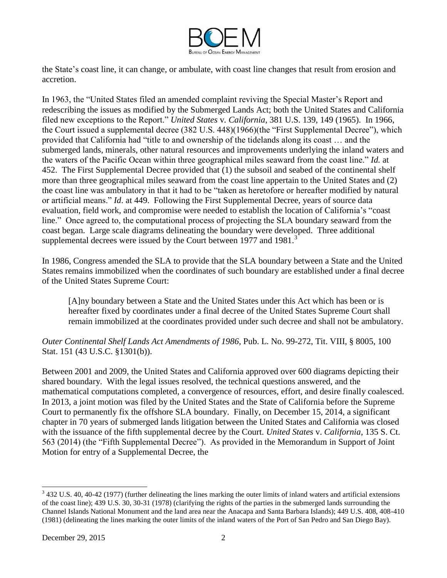

the State's coast line, it can change, or ambulate, with coast line changes that result from erosion and accretion.

In 1963, the "United States filed an amended complaint reviving the Special Master's Report and redescribing the issues as modified by the Submerged Lands Act; both the United States and California filed new exceptions to the Report." *United States* v*. California*, 381 U.S. 139, 149 (1965). In 1966, the Court issued a supplemental decree (382 U.S. 448)(1966)(the "First Supplemental Decree"), which provided that California had "title to and ownership of the tidelands along its coast … and the submerged lands, minerals, other natural resources and improvements underlying the inland waters and the waters of the Pacific Ocean within three geographical miles seaward from the coast line." *Id.* at 452. The First Supplemental Decree provided that (1) the subsoil and seabed of the continental shelf more than three geographical miles seaward from the coast line appertain to the United States and (2) the coast line was ambulatory in that it had to be "taken as heretofore or hereafter modified by natural or artificial means." *Id*. at 449. Following the First Supplemental Decree, years of source data evaluation, field work, and compromise were needed to establish the location of California's "coast line." Once agreed to, the computational process of projecting the SLA boundary seaward from the coast began. Large scale diagrams delineating the boundary were developed. Three additional supplemental decrees were issued by the Court between 1977 and  $1981$ .<sup>3</sup>

In 1986, Congress amended the SLA to provide that the SLA boundary between a State and the United States remains immobilized when the coordinates of such boundary are established under a final decree of the United States Supreme Court:

[A]ny boundary between a State and the United States under this Act which has been or is hereafter fixed by coordinates under a final decree of the United States Supreme Court shall remain immobilized at the coordinates provided under such decree and shall not be ambulatory.

*Outer Continental Shelf Lands Act Amendments of 1986,* Pub. L. No. 99-272, Tit. VIII, § 8005, 100 Stat. 151 (43 U.S.C. §1301(b)).

Between 2001 and 2009, the United States and California approved over 600 diagrams depicting their shared boundary. With the legal issues resolved, the technical questions answered, and the mathematical computations completed, a convergence of resources, effort, and desire finally coalesced. In 2013, a joint motion was filed by the United States and the State of California before the Supreme Court to permanently fix the offshore SLA boundary. Finally, on December 15, 2014, a significant chapter in 70 years of submerged lands litigation between the United States and California was closed with the issuance of the fifth supplemental decree by the Court. *United States* v. *California*, 135 S. Ct. 563 (2014) (the "Fifth Supplemental Decree"). As provided in the Memorandum in Support of Joint Motion for entry of a Supplemental Decree, the

<sup>&</sup>lt;sup>3</sup> 432 U.S. 40, 40-42 (1977) (further delineating the lines marking the outer limits of inland waters and artificial extensions of the coast line); 439 U.S. 30, 30-31 (1978) (clarifying the rights of the parties in the submerged lands surrounding the Channel Islands National Monument and the land area near the Anacapa and Santa Barbara Islands); 449 U.S. 408, 408-410 (1981) (delineating the lines marking the outer limits of the inland waters of the Port of San Pedro and San Diego Bay).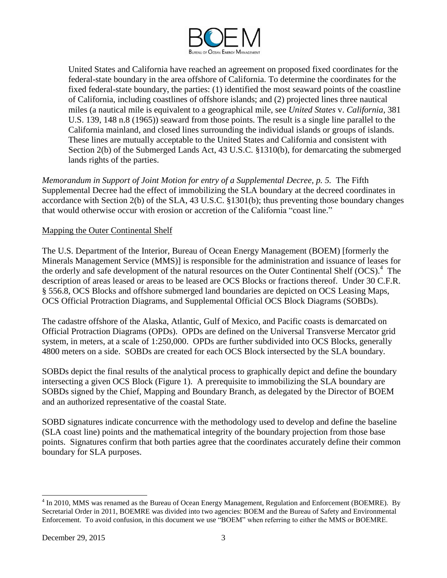

United States and California have reached an agreement on proposed fixed coordinates for the federal-state boundary in the area offshore of California. To determine the coordinates for the fixed federal-state boundary, the parties: (1) identified the most seaward points of the coastline of California, including coastlines of offshore islands; and (2) projected lines three nautical miles (a nautical mile is equivalent to a geographical mile, see *United States* v. *California*, 381 U.S. 139, 148 n.8 (1965)) seaward from those points. The result is a single line parallel to the California mainland, and closed lines surrounding the individual islands or groups of islands. These lines are mutually acceptable to the United States and California and consistent with Section 2(b) of the Submerged Lands Act, 43 U.S.C. §1310(b), for demarcating the submerged lands rights of the parties.

*Memorandum in Support of Joint Motion for entry of a Supplemental Decree, p. 5.* The Fifth Supplemental Decree had the effect of immobilizing the SLA boundary at the decreed coordinates in accordance with Section 2(b) of the SLA, 43 U.S.C. §1301(b); thus preventing those boundary changes that would otherwise occur with erosion or accretion of the California "coast line."

# Mapping the Outer Continental Shelf

The U.S. Department of the Interior, Bureau of Ocean Energy Management (BOEM) [formerly the Minerals Management Service (MMS)] is responsible for the administration and issuance of leases for the orderly and safe development of the natural resources on the Outer Continental Shelf (OCS).<sup>4</sup> The description of areas leased or areas to be leased are OCS Blocks or fractions thereof. Under 30 C.F.R. § 556.8, OCS Blocks and offshore submerged land boundaries are depicted on OCS Leasing Maps, OCS Official Protraction Diagrams, and Supplemental Official OCS Block Diagrams (SOBDs).

The cadastre offshore of the Alaska, Atlantic, Gulf of Mexico, and Pacific coasts is demarcated on Official Protraction Diagrams (OPDs). OPDs are defined on the Universal Transverse Mercator grid system, in meters, at a scale of 1:250,000. OPDs are further subdivided into OCS Blocks, generally 4800 meters on a side. SOBDs are created for each OCS Block intersected by the SLA boundary.

SOBDs depict the final results of the analytical process to graphically depict and define the boundary intersecting a given OCS Block (Figure 1). A prerequisite to immobilizing the SLA boundary are SOBDs signed by the Chief, Mapping and Boundary Branch, as delegated by the Director of BOEM and an authorized representative of the coastal State.

SOBD signatures indicate concurrence with the methodology used to develop and define the baseline (SLA coast line) points and the mathematical integrity of the boundary projection from those base points. Signatures confirm that both parties agree that the coordinates accurately define their common boundary for SLA purposes.

 4 In 2010, MMS was renamed as the Bureau of Ocean Energy Management, Regulation and Enforcement (BOEMRE). By Secretarial Order in 2011, BOEMRE was divided into two agencies: BOEM and the Bureau of Safety and Environmental Enforcement. To avoid confusion, in this document we use "BOEM" when referring to either the MMS or BOEMRE.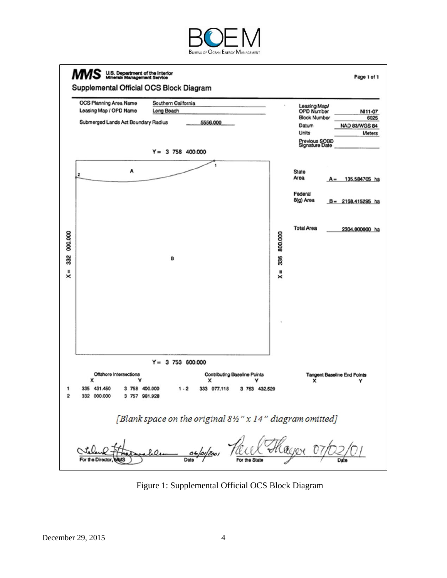



Figure 1: Supplemental Official OCS Block Diagram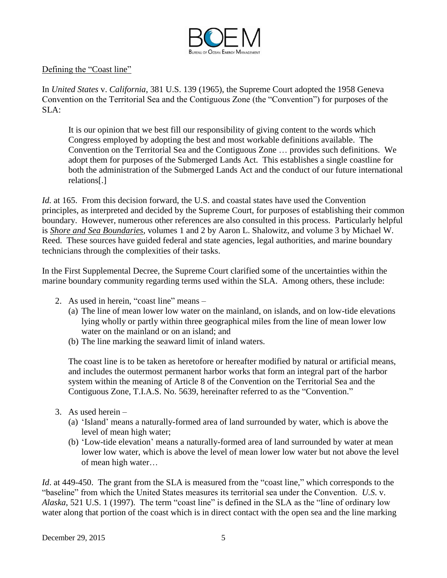

### Defining the "Coast line"

In *United States* v. *California*, 381 U.S. 139 (1965), the Supreme Court adopted the 1958 Geneva Convention on the Territorial Sea and the Contiguous Zone (the "Convention") for purposes of the SLA:

It is our opinion that we best fill our responsibility of giving content to the words which Congress employed by adopting the best and most workable definitions available. The Convention on the Territorial Sea and the Contiguous Zone … provides such definitions. We adopt them for purposes of the Submerged Lands Act. This establishes a single coastline for both the administration of the Submerged Lands Act and the conduct of our future international relations[.]

*Id.* at 165. From this decision forward, the U.S. and coastal states have used the Convention principles, as interpreted and decided by the Supreme Court, for purposes of establishing their common boundary. However, numerous other references are also consulted in this process. Particularly helpful is *Shore and Sea Boundaries*, volumes 1 and 2 by Aaron L. Shalowitz, and volume 3 by Michael W. Reed. These sources have guided federal and state agencies, legal authorities, and marine boundary technicians through the complexities of their tasks.

In the First Supplemental Decree, the Supreme Court clarified some of the uncertainties within the marine boundary community regarding terms used within the SLA. Among others, these include:

- 2. As used in herein, "coast line" means
	- (a) The line of mean lower low water on the mainland, on islands, and on low-tide elevations lying wholly or partly within three geographical miles from the line of mean lower low water on the mainland or on an island; and
	- (b) The line marking the seaward limit of inland waters.

The coast line is to be taken as heretofore or hereafter modified by natural or artificial means, and includes the outermost permanent harbor works that form an integral part of the harbor system within the meaning of Article 8 of the Convention on the Territorial Sea and the Contiguous Zone, T.I.A.S. No. 5639, hereinafter referred to as the "Convention."

- 3. As used herein
	- (a) 'Island' means a naturally-formed area of land surrounded by water, which is above the level of mean high water;
	- (b) 'Low-tide elevation' means a naturally-formed area of land surrounded by water at mean lower low water, which is above the level of mean lower low water but not above the level of mean high water…

*Id.* at 449-450. The grant from the SLA is measured from the "coast line," which corresponds to the "baseline" from which the United States measures its territorial sea under the Convention. *U.S*. v. *Alaska*, 521 U.S. 1 (1997). The term "coast line" is defined in the SLA as the "line of ordinary low water along that portion of the coast which is in direct contact with the open sea and the line marking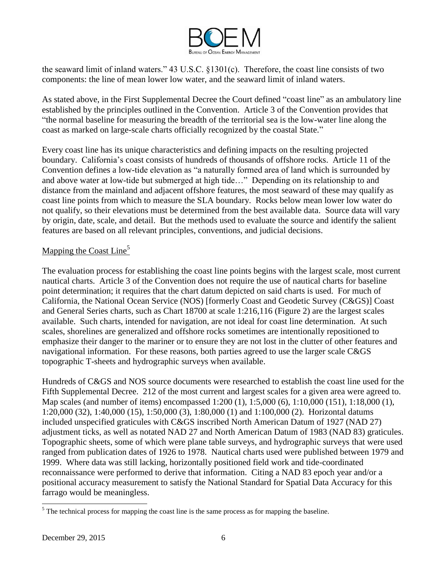

the seaward limit of inland waters." 43 U.S.C. §1301(c). Therefore, the coast line consists of two components: the line of mean lower low water, and the seaward limit of inland waters.

As stated above, in the First Supplemental Decree the Court defined "coast line" as an ambulatory line established by the principles outlined in the Convention. Article 3 of the Convention provides that "the normal baseline for measuring the breadth of the territorial sea is the low-water line along the coast as marked on large-scale charts officially recognized by the coastal State."

Every coast line has its unique characteristics and defining impacts on the resulting projected boundary. California's coast consists of hundreds of thousands of offshore rocks. Article 11 of the Convention defines a low-tide elevation as "a naturally formed area of land which is surrounded by and above water at low-tide but submerged at high tide…" Depending on its relationship to and distance from the mainland and adjacent offshore features, the most seaward of these may qualify as coast line points from which to measure the SLA boundary. Rocks below mean lower low water do not qualify, so their elevations must be determined from the best available data. Source data will vary by origin, date, scale, and detail. But the methods used to evaluate the source and identify the salient features are based on all relevant principles, conventions, and judicial decisions.

# Mapping the Coast  $Line<sup>5</sup>$

The evaluation process for establishing the coast line points begins with the largest scale, most current nautical charts. Article 3 of the Convention does not require the use of nautical charts for baseline point determination; it requires that the chart datum depicted on said charts is used. For much of California, the National Ocean Service (NOS) [formerly Coast and Geodetic Survey (C&GS)] Coast and General Series charts, such as Chart 18700 at scale 1:216,116 (Figure 2) are the largest scales available. Such charts, intended for navigation, are not ideal for coast line determination. At such scales, shorelines are generalized and offshore rocks sometimes are intentionally repositioned to emphasize their danger to the mariner or to ensure they are not lost in the clutter of other features and navigational information. For these reasons, both parties agreed to use the larger scale C&GS topographic T-sheets and hydrographic surveys when available.

Hundreds of C&GS and NOS source documents were researched to establish the coast line used for the Fifth Supplemental Decree. 212 of the most current and largest scales for a given area were agreed to. Map scales (and number of items) encompassed 1:200 (1), 1:5,000 (6), 1:10,000 (151), 1:18,000 (1), 1:20,000 (32), 1:40,000 (15), 1:50,000 (3), 1:80,000 (1) and 1:100,000 (2). Horizontal datums included unspecified graticules with C&GS inscribed North American Datum of 1927 (NAD 27) adjustment ticks, as well as notated NAD 27 and North American Datum of 1983 (NAD 83) graticules. Topographic sheets, some of which were plane table surveys, and hydrographic surveys that were used ranged from publication dates of 1926 to 1978. Nautical charts used were published between 1979 and 1999. Where data was still lacking, horizontally positioned field work and tide-coordinated reconnaissance were performed to derive that information. Citing a NAD 83 epoch year and/or a positional accuracy measurement to satisfy the National Standard for Spatial Data Accuracy for this farrago would be meaningless.

 $<sup>5</sup>$  The technical process for mapping the coast line is the same process as for mapping the baseline.</sup>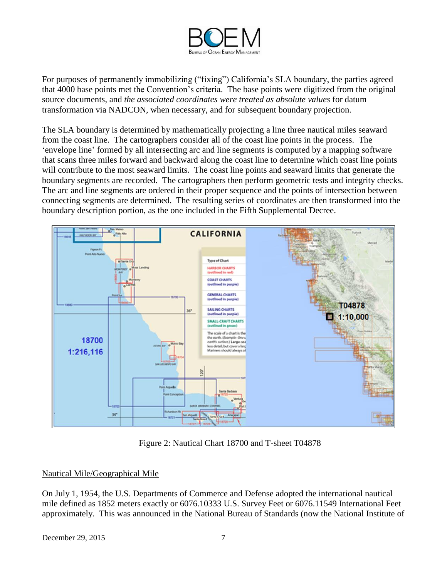

For purposes of permanently immobilizing ("fixing") California's SLA boundary, the parties agreed that 4000 base points met the Convention's criteria. The base points were digitized from the original source documents, and *the associated coordinates were treated as absolute values* for datum transformation via NADCON, when necessary, and for subsequent boundary projection.

The SLA boundary is determined by mathematically projecting a line three nautical miles seaward from the coast line. The cartographers consider all of the coast line points in the process. The 'envelope line' formed by all intersecting arc and line segments is computed by a mapping software that scans three miles forward and backward along the coast line to determine which coast line points will contribute to the most seaward limits. The coast line points and seaward limits that generate the boundary segments are recorded. The cartographers then perform geometric tests and integrity checks. The arc and line segments are ordered in their proper sequence and the points of intersection between connecting segments are determined. The resulting series of coordinates are then transformed into the boundary description portion, as the one included in the Fifth Supplemental Decree.



Figure 2: Nautical Chart 18700 and T-sheet T04878

# Nautical Mile/Geographical Mile

On July 1, 1954, the U.S. Departments of Commerce and Defense adopted the international nautical mile defined as 1852 meters exactly or 6076.10333 U.S. Survey Feet or 6076.11549 International Feet approximately. This was announced in the National Bureau of Standards (now the National Institute of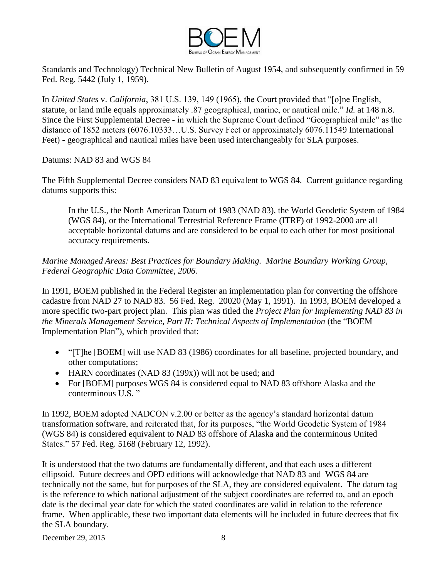

Standards and Technology) Technical New Bulletin of August 1954, and subsequently confirmed in 59 Fed. Reg. 5442 (July 1, 1959).

In *United States* v. *California*, 381 U.S. 139, 149 (1965), the Court provided that "[o]ne English, statute, or land mile equals approximately .87 geographical, marine, or nautical mile." *Id.* at 148 n.8. Since the First Supplemental Decree - in which the Supreme Court defined "Geographical mile" as the distance of 1852 meters (6076.10333…U.S. Survey Feet or approximately 6076.11549 International Feet) - geographical and nautical miles have been used interchangeably for SLA purposes.

### Datums: NAD 83 and WGS 84

The Fifth Supplemental Decree considers NAD 83 equivalent to WGS 84. Current guidance regarding datums supports this:

In the U.S., the North American Datum of 1983 (NAD 83), the World Geodetic System of 1984 (WGS 84), or the International Terrestrial Reference Frame (ITRF) of 1992-2000 are all acceptable horizontal datums and are considered to be equal to each other for most positional accuracy requirements.

# *Marine Managed Areas: Best Practices for Boundary Making. Marine Boundary Working Group, Federal Geographic Data Committee, 2006.*

In 1991, BOEM published in the Federal Register an implementation plan for converting the offshore cadastre from NAD 27 to NAD 83. 56 Fed. Reg. 20020 (May 1, 1991). In 1993, BOEM developed a more specific two-part project plan. This plan was titled the *Project Plan for Implementing NAD 83 in the Minerals Management Service, Part II: Technical Aspects of Implementation* (the "BOEM Implementation Plan"), which provided that:

- "[T]he [BOEM] will use NAD 83 (1986) coordinates for all baseline, projected boundary, and other computations;
- HARN coordinates (NAD 83 (199x)) will not be used; and
- For [BOEM] purposes WGS 84 is considered equal to NAD 83 offshore Alaska and the conterminous U.S. "

In 1992, BOEM adopted NADCON v.2.00 or better as the agency's standard horizontal datum transformation software, and reiterated that, for its purposes, "the World Geodetic System of 1984 (WGS 84) is considered equivalent to NAD 83 offshore of Alaska and the conterminous United States." 57 Fed. Reg. 5168 (February 12, 1992).

It is understood that the two datums are fundamentally different, and that each uses a different ellipsoid. Future decrees and OPD editions will acknowledge that NAD 83 and WGS 84 are technically not the same, but for purposes of the SLA, they are considered equivalent. The datum tag is the reference to which national adjustment of the subject coordinates are referred to, and an epoch date is the decimal year date for which the stated coordinates are valid in relation to the reference frame. When applicable, these two important data elements will be included in future decrees that fix the SLA boundary.

December 29, 2015 8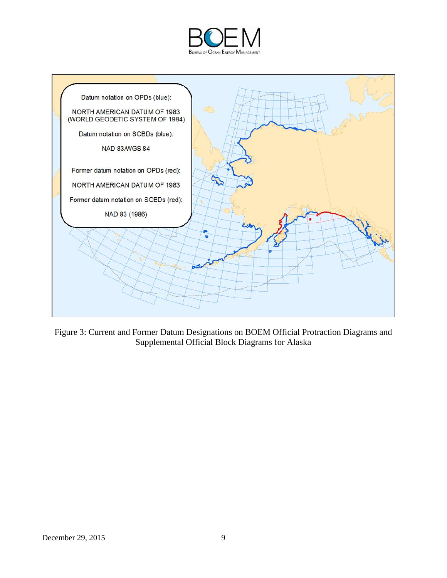



Figure 3: Current and Former Datum Designations on BOEM Official Protraction Diagrams and Supplemental Official Block Diagrams for Alaska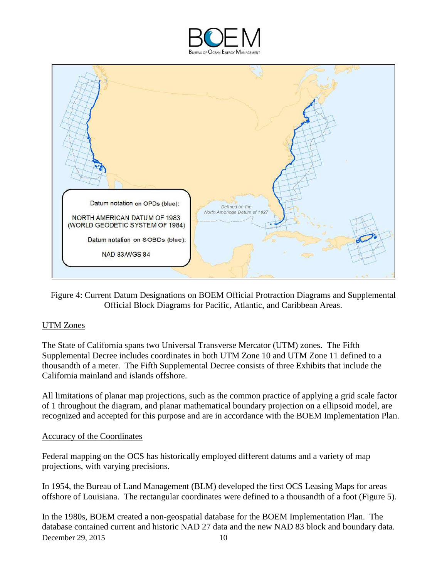



Figure 4: Current Datum Designations on BOEM Official Protraction Diagrams and Supplemental Official Block Diagrams for Pacific, Atlantic, and Caribbean Areas.

# UTM Zones

The State of California spans two Universal Transverse Mercator (UTM) zones. The Fifth Supplemental Decree includes coordinates in both UTM Zone 10 and UTM Zone 11 defined to a thousandth of a meter. The Fifth Supplemental Decree consists of three Exhibits that include the California mainland and islands offshore.

All limitations of planar map projections, such as the common practice of applying a grid scale factor of 1 throughout the diagram, and planar mathematical boundary projection on a ellipsoid model, are recognized and accepted for this purpose and are in accordance with the BOEM Implementation Plan.

### Accuracy of the Coordinates

Federal mapping on the OCS has historically employed different datums and a variety of map projections, with varying precisions.

In 1954, the Bureau of Land Management (BLM) developed the first OCS Leasing Maps for areas offshore of Louisiana. The rectangular coordinates were defined to a thousandth of a foot (Figure 5).

December 29, 2015 10 In the 1980s, BOEM created a non-geospatial database for the BOEM Implementation Plan. The database contained current and historic NAD 27 data and the new NAD 83 block and boundary data.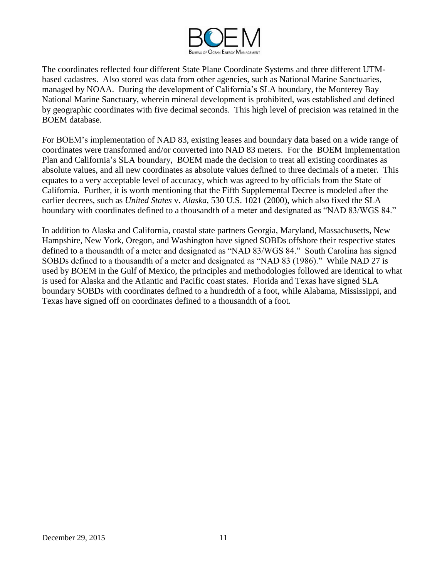

The coordinates reflected four different State Plane Coordinate Systems and three different UTMbased cadastres. Also stored was data from other agencies, such as National Marine Sanctuaries, managed by NOAA. During the development of California's SLA boundary, the Monterey Bay National Marine Sanctuary, wherein mineral development is prohibited, was established and defined by geographic coordinates with five decimal seconds. This high level of precision was retained in the BOEM database.

For BOEM's implementation of NAD 83, existing leases and boundary data based on a wide range of coordinates were transformed and/or converted into NAD 83 meters. For the BOEM Implementation Plan and California's SLA boundary, BOEM made the decision to treat all existing coordinates as absolute values, and all new coordinates as absolute values defined to three decimals of a meter. This equates to a very acceptable level of accuracy, which was agreed to by officials from the State of California. Further, it is worth mentioning that the Fifth Supplemental Decree is modeled after the earlier decrees, such as *United States* v. *Alaska*, 530 U.S. 1021 (2000), which also fixed the SLA boundary with coordinates defined to a thousandth of a meter and designated as "NAD 83/WGS 84."

In addition to Alaska and California, coastal state partners Georgia, Maryland, Massachusetts, New Hampshire, New York, Oregon, and Washington have signed SOBDs offshore their respective states defined to a thousandth of a meter and designated as "NAD 83/WGS 84." South Carolina has signed SOBDs defined to a thousandth of a meter and designated as "NAD 83 (1986)." While NAD 27 is used by BOEM in the Gulf of Mexico, the principles and methodologies followed are identical to what is used for Alaska and the Atlantic and Pacific coast states. Florida and Texas have signed SLA boundary SOBDs with coordinates defined to a hundredth of a foot, while Alabama, Mississippi, and Texas have signed off on coordinates defined to a thousandth of a foot.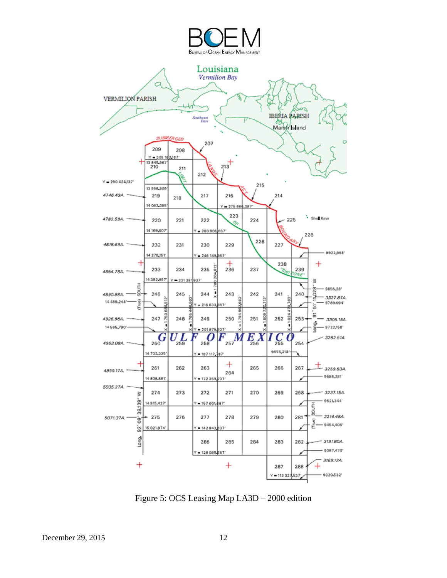

Figure 5: OCS Leasing Map LA3D – 2000 edition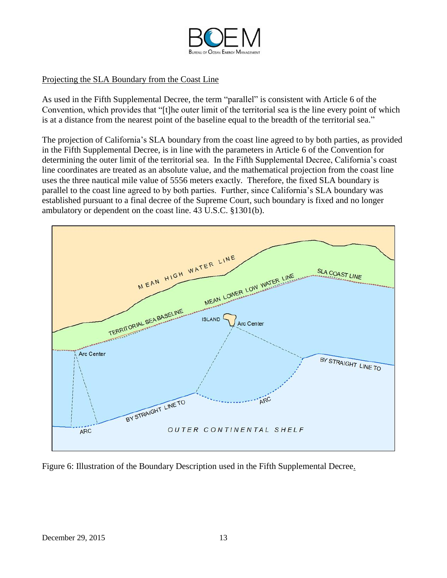

# Projecting the SLA Boundary from the Coast Line

As used in the Fifth Supplemental Decree, the term "parallel" is consistent with Article 6 of the Convention, which provides that "[t]he outer limit of the territorial sea is the line every point of which is at a distance from the nearest point of the baseline equal to the breadth of the territorial sea."

The projection of California's SLA boundary from the coast line agreed to by both parties, as provided in the Fifth Supplemental Decree, is in line with the parameters in Article 6 of the Convention for determining the outer limit of the territorial sea. In the Fifth Supplemental Decree, California's coast line coordinates are treated as an absolute value, and the mathematical projection from the coast line uses the three nautical mile value of 5556 meters exactly. Therefore, the fixed SLA boundary is parallel to the coast line agreed to by both parties. Further, since California's SLA boundary was established pursuant to a final decree of the Supreme Court, such boundary is fixed and no longer ambulatory or dependent on the coast line. 43 U.S.C. §1301(b).



Figure 6: Illustration of the Boundary Description used in the Fifth Supplemental Decree.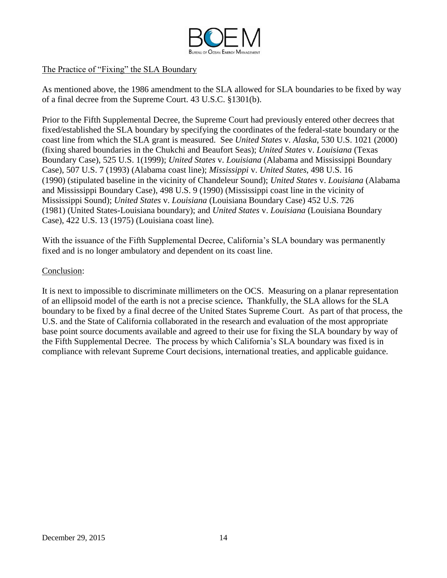

# The Practice of "Fixing" the SLA Boundary

As mentioned above, the 1986 amendment to the SLA allowed for SLA boundaries to be fixed by way of a final decree from the Supreme Court. 43 U.S.C. §1301(b).

Prior to the Fifth Supplemental Decree, the Supreme Court had previously entered other decrees that fixed/established the SLA boundary by specifying the coordinates of the federal-state boundary or the coast line from which the SLA grant is measured. See *United States* v. *Alaska*, 530 U.S. 1021 (2000) (fixing shared boundaries in the Chukchi and Beaufort Seas); *United States* v. *Louisiana* (Texas Boundary Case), 525 U.S. 1(1999); *United States* v. *Louisiana* (Alabama and Mississippi Boundary Case), 507 U.S. 7 (1993) (Alabama coast line); *Mississippi* v. *United States*, 498 U.S. 16 (1990) (stipulated baseline in the vicinity of Chandeleur Sound); *United States* v. *Louisiana* (Alabama and Mississippi Boundary Case), 498 U.S. 9 (1990) (Mississippi coast line in the vicinity of Mississippi Sound); *United States* v. *Louisiana* (Louisiana Boundary Case) 452 U.S. 726 (1981) (United States-Louisiana boundary); and *United States* v. *Louisiana* [\(Louisiana Boundary](http://www.lexis.com/research/buttonTFLink?_m=88dfbad4f033f2ac994ab3d87517d026&_xfercite=%3ccite%20cc%3d%22USA%22%3e%3c%21%5bCDATA%5b1998%20U.S.%20S.%20Ct.%20Briefs%20LEXIS%201020%5d%5d%3e%3c%2fcite%3e&_butType=3&_butStat=2&_butNum=51&_butInline=1&_butinfo=%3ccite%20cc%3d%22USA%22%3e%3c%21%5bCDATA%5b422%20U.S.%2013%5d%5d%3e%3c%2fcite%3e&_fmtstr=FULL&docnum=1&_startdoc=1&wchp=dGLzVzB-zSkAW&_md5=da6caa70fa0a388e9982a0c7ee4358f4)  [Case\), 422 U.S. 13 \(1975\)](http://www.lexis.com/research/buttonTFLink?_m=88dfbad4f033f2ac994ab3d87517d026&_xfercite=%3ccite%20cc%3d%22USA%22%3e%3c%21%5bCDATA%5b1998%20U.S.%20S.%20Ct.%20Briefs%20LEXIS%201020%5d%5d%3e%3c%2fcite%3e&_butType=3&_butStat=2&_butNum=51&_butInline=1&_butinfo=%3ccite%20cc%3d%22USA%22%3e%3c%21%5bCDATA%5b422%20U.S.%2013%5d%5d%3e%3c%2fcite%3e&_fmtstr=FULL&docnum=1&_startdoc=1&wchp=dGLzVzB-zSkAW&_md5=da6caa70fa0a388e9982a0c7ee4358f4) (Louisiana coast line).

With the issuance of the Fifth Supplemental Decree, California's SLA boundary was permanently fixed and is no longer ambulatory and dependent on its coast line.

### Conclusion:

It is next to impossible to discriminate millimeters on the OCS. Measuring on a planar representation of an ellipsoid model of the earth is not a precise science**.** Thankfully, the SLA allows for the SLA boundary to be fixed by a final decree of the United States Supreme Court. As part of that process, the U.S. and the State of California collaborated in the research and evaluation of the most appropriate base point source documents available and agreed to their use for fixing the SLA boundary by way of the Fifth Supplemental Decree. The process by which California's SLA boundary was fixed is in compliance with relevant Supreme Court decisions, international treaties, and applicable guidance.